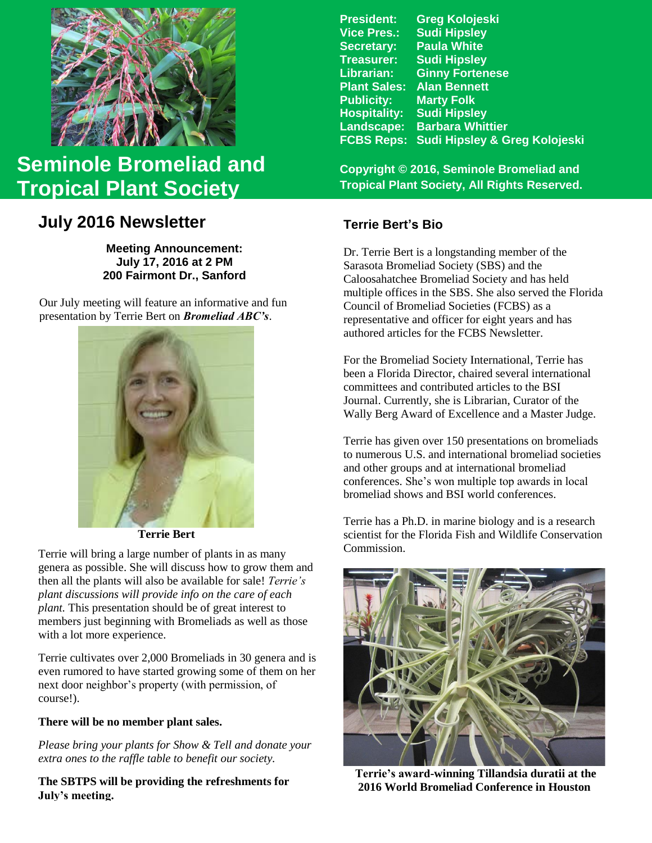

# **Seminole Bromeliad and Tropical Plant Society**

## **July 2016 Newsletter**

**Meeting Announcement: July 17, 2016 at 2 PM 200 Fairmont Dr., Sanford**

Our July meeting will feature an informative and fun presentation by Terrie Bert on *Bromeliad ABC's*.



 **Terrie Bert**

Terrie will bring a large number of plants in as many genera as possible. She will discuss how to grow them and then all the plants will also be available for sale! *Terrie's plant discussions will provide info on the care of each plant.* This presentation should be of great interest to members just beginning with Bromeliads as well as those with a lot more experience.

Terrie cultivates over 2,000 Bromeliads in 30 genera and is even rumored to have started growing some of them on her next door neighbor's property (with permission, of course!).

#### **There will be no member plant sales.**

*Please bring your plants for Show & Tell and donate your extra ones to the raffle table to benefit our society.*

**The SBTPS will be providing the refreshments for July's meeting.**

| <b>Greg Kolojeski</b>         |
|-------------------------------|
| <b>Sudi Hipsley</b>           |
| <b>Paula White</b>            |
| <b>Sudi Hipsley</b>           |
| <b>Ginny Fortenese</b>        |
| <b>Alan Bennett</b>           |
| <b>Marty Folk</b>             |
| <b>Sudi Hipsley</b>           |
| <b>Barbara Whittier</b>       |
| Sudi Hipsley & Greg Kolojeski |
|                               |

**Copyright © 2016, Seminole Bromeliad and Tropical Plant Society, All Rights Reserved.**

### **Terrie Bert's Bio**

Dr. Terrie Bert is a longstanding member of the Sarasota Bromeliad Society (SBS) and the Caloosahatchee Bromeliad Society and has held multiple offices in the SBS. She also served the Florida Council of Bromeliad Societies (FCBS) as a representative and officer for eight years and has authored articles for the FCBS Newsletter.

For the Bromeliad Society International, Terrie has been a Florida Director, chaired several international committees and contributed articles to the BSI Journal. Currently, she is Librarian, Curator of the Wally Berg Award of Excellence and a Master Judge.

Terrie has given over 150 presentations on bromeliads to numerous U.S. and international bromeliad societies and other groups and at international bromeliad conferences. She's won multiple top awards in local bromeliad shows and BSI world conferences.

Terrie has a Ph.D. in marine biology and is a research scientist for the Florida Fish and Wildlife Conservation Commission.



 **Terrie's award-winning Tillandsia duratii at the 2016 World Bromeliad Conference in Houston**